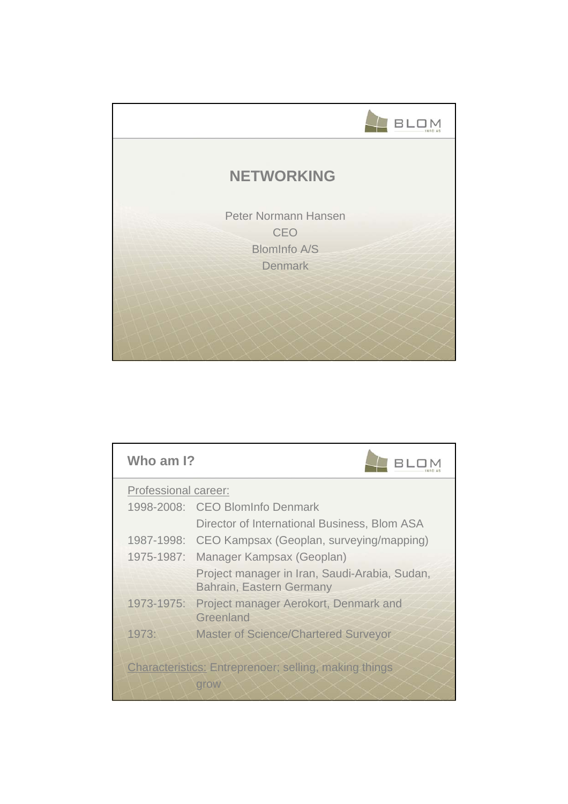

| Who am I?            |                                                                           |
|----------------------|---------------------------------------------------------------------------|
| Professional career: |                                                                           |
|                      | 1998-2008: CEO BlomInfo Denmark                                           |
|                      | Director of International Business, Blom ASA                              |
|                      | 1987-1998: CEO Kampsax (Geoplan, surveying/mapping)                       |
| 1975-1987:           | Manager Kampsax (Geoplan)                                                 |
|                      | Project manager in Iran, Saudi-Arabia, Sudan,<br>Bahrain, Eastern Germany |
| 1973-1975:           | Project manager Aerokort, Denmark and<br>Greenland                        |
| 1973:                | <b>Master of Science/Chartered Surveyor</b>                               |
|                      | <b>Characteristics: Entreprenoer; selling, making things</b><br>grow      |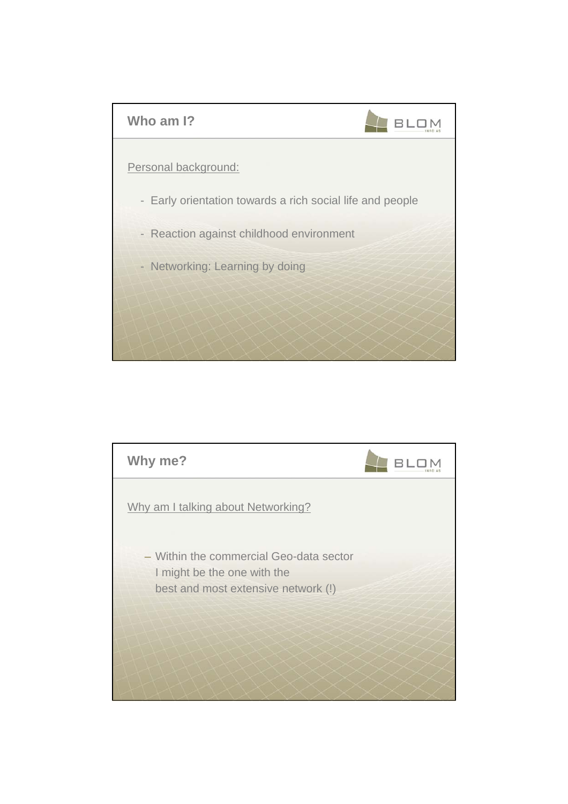

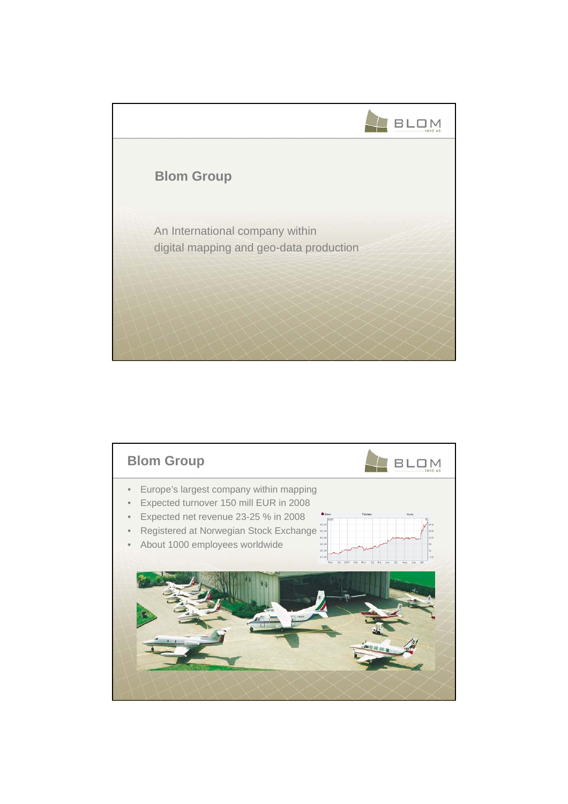

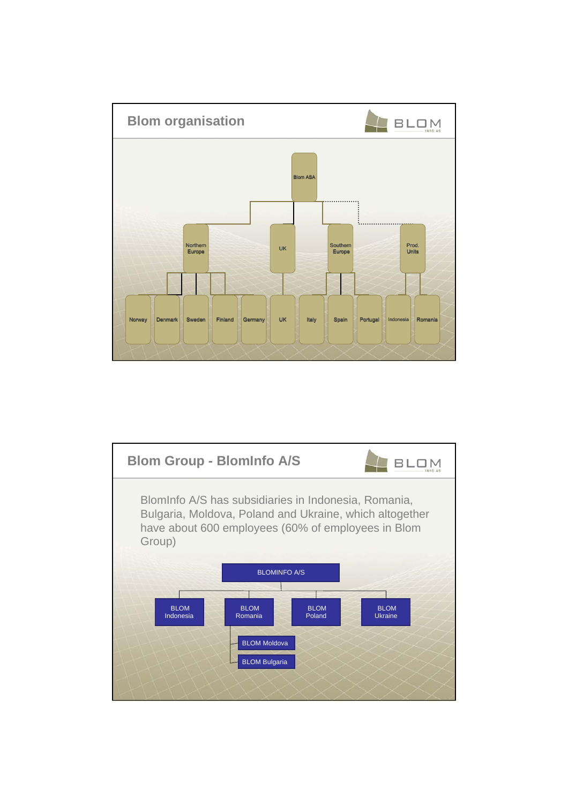

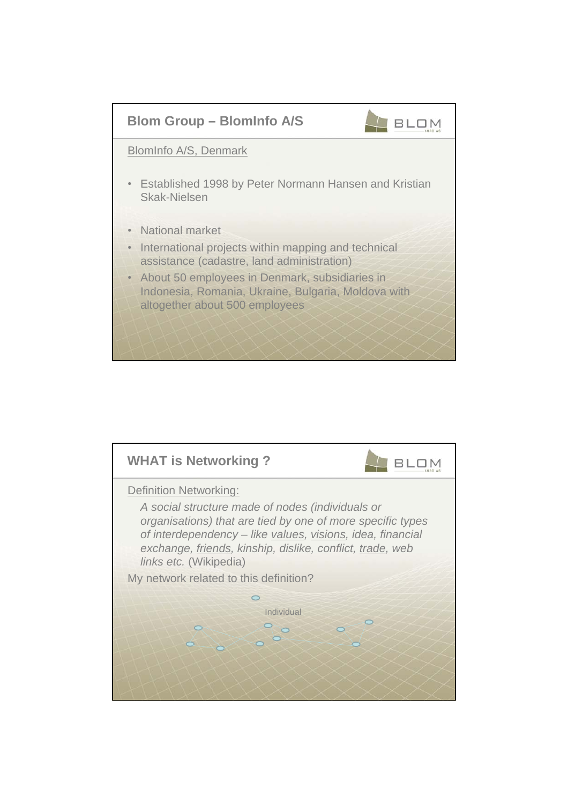

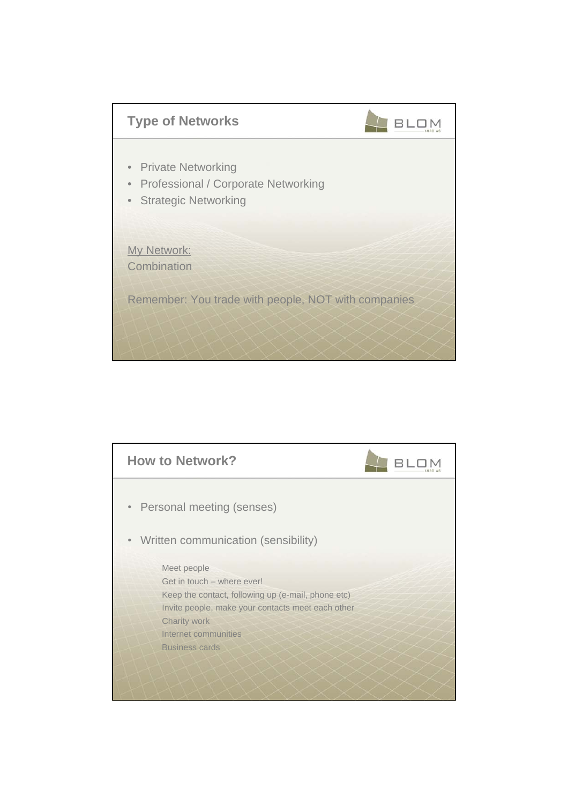

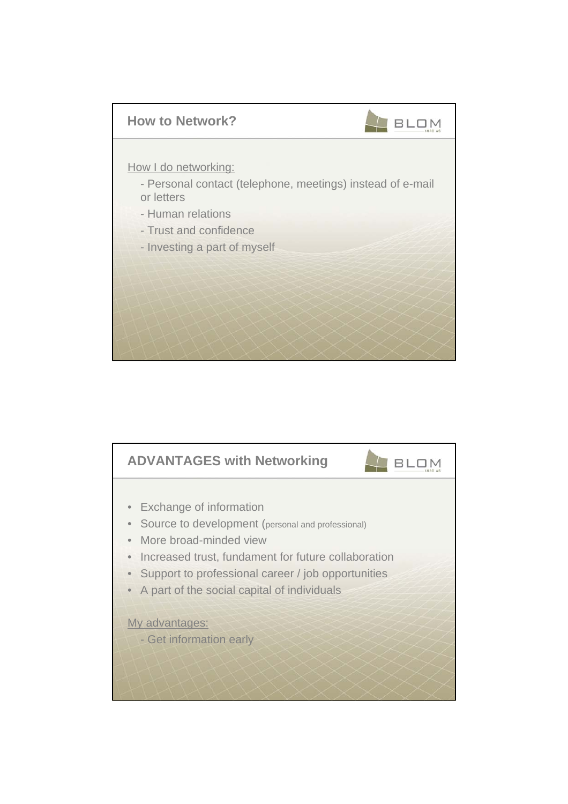

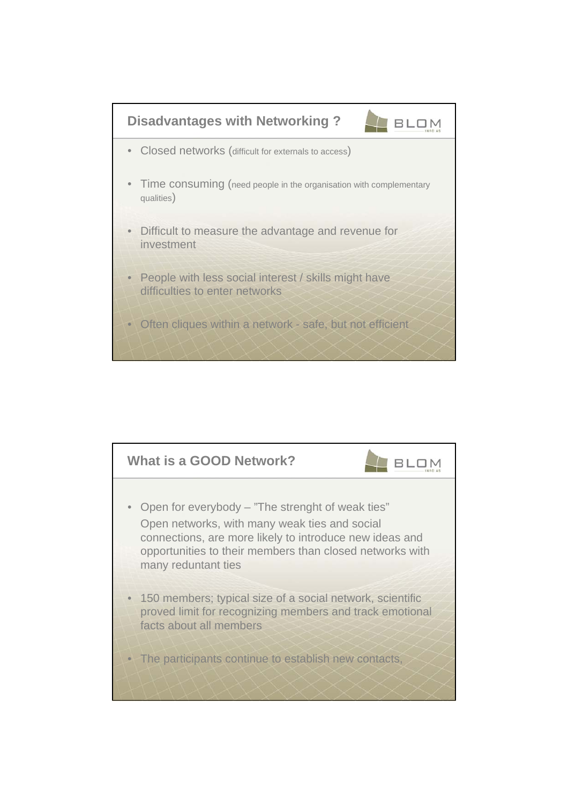

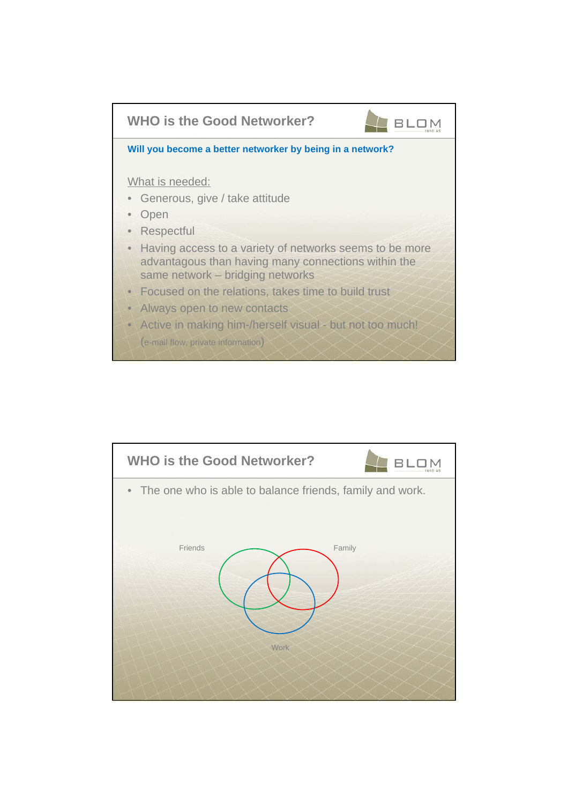

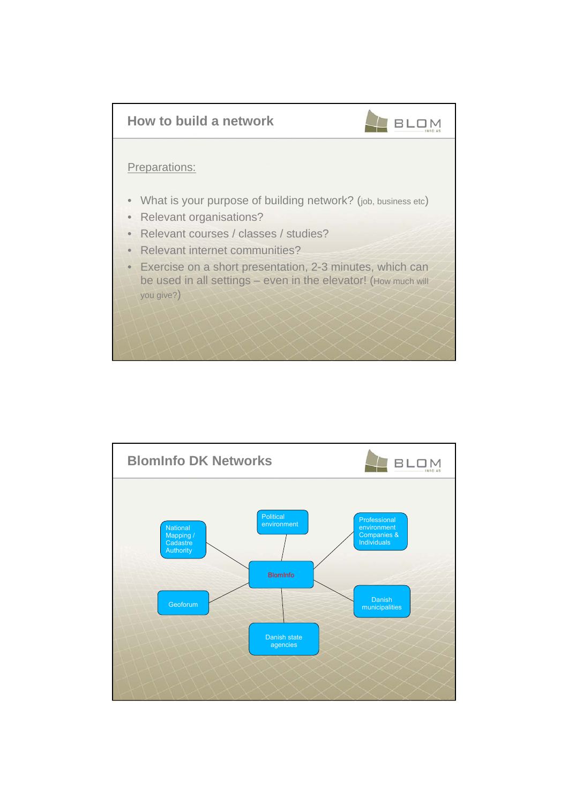

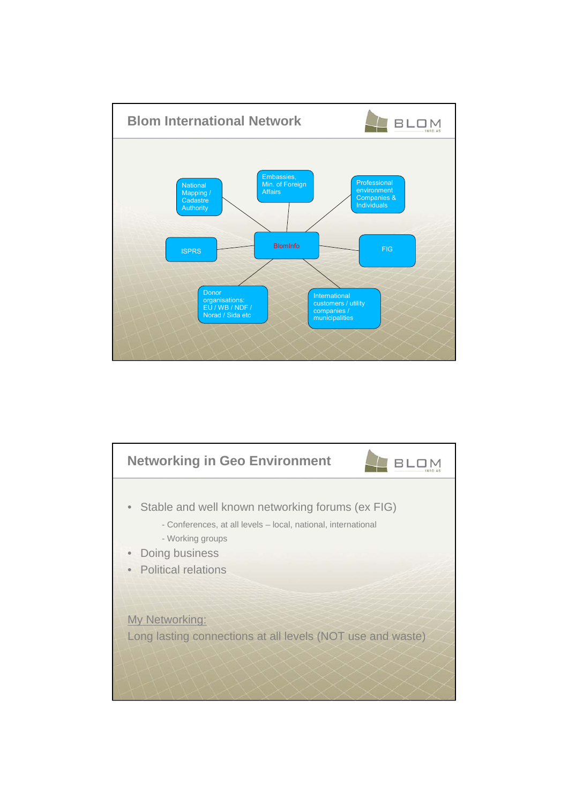